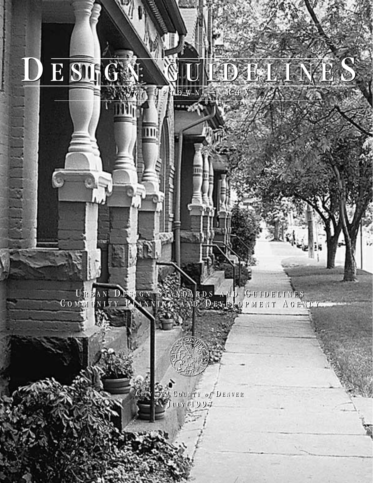U RBAN D ESIGN S TANDARDS AND G UIDELINES COMMUNITY PLANNING AND DEVELOPMENT AGENCY U RBAN D ESIGN S TANDARDS AND G UIDELINES COMMUNITY PLANNING AND DEVELOPMENT AGENCY

D E SINGN: WUIDELINES

 $f$ or U PTOWN – R4X

ш

 $141$ 

C ITY *and* C OUNTY *o f* D ENVER C ITY *and* C OUNTY *o f* D ENVER **J ULY 1997 J ULY 1997**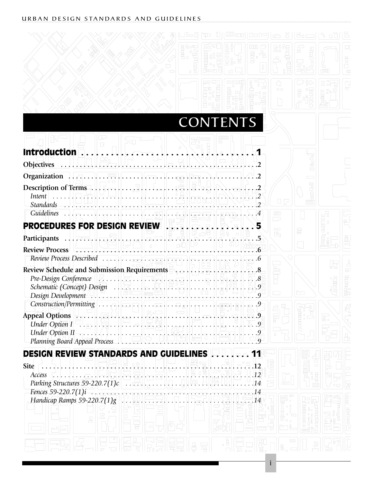|                                                                                                                                                                                                                                                                                                                                                                                                                                     |         |                 | $\Box$                                                         |      |  |
|-------------------------------------------------------------------------------------------------------------------------------------------------------------------------------------------------------------------------------------------------------------------------------------------------------------------------------------------------------------------------------------------------------------------------------------|---------|-----------------|----------------------------------------------------------------|------|--|
|                                                                                                                                                                                                                                                                                                                                                                                                                                     | a, Pana | <b>CONTENTS</b> |                                                                |      |  |
| $\frac{1}{2}$<br>Introduction                                                                                                                                                                                                                                                                                                                                                                                                       |         |                 |                                                                |      |  |
| <b>Objectives</b>                                                                                                                                                                                                                                                                                                                                                                                                                   |         |                 |                                                                |      |  |
| Intent                                                                                                                                                                                                                                                                                                                                                                                                                              |         |                 | u P                                                            | www. |  |
| Guidelines $\therefore$ $\left[\begin{array}{c c c c c} \hline \cdots & \cdots & \cdots \end{array}\right]$ $\cdots$ $\left[\begin{array}{c c c c} \hline \cdots & \cdots & \cdots \end{array}\right]$ $\left[\begin{array}{c c c c} \hline \cdots & \cdots & \cdots \end{array}\right]$ $\left[\begin{array}{c c c c} \hline \cdots & \cdots & \cdots \end{array}\right]$<br><b>PROCEDURES FOR DESIGN REVIEW REGISTER REGISTER</b> |         |                 | $\Box$<br>$\overline{\phantom{a}}$<br>$\overline{\phantom{a}}$ |      |  |
| Participants  The contract of the second of the second second the second second second second second second second second second second second second second second second second second second second second second second                                                                                                                                                                                                         |         |                 | Б'n                                                            |      |  |
| Review Process Described $\ldots$ $\ldots$ $\ldots$ $\ldots$ $\ldots$ $\ldots$ $\ldots$ $\ldots$ $\ldots$ $\ldots$ $\ldots$                                                                                                                                                                                                                                                                                                         |         |                 |                                                                |      |  |
| Review Schedule and Submission Requirements<br>Pre-Design Conference $  \mathcal{Z}_{\cdot} \dots   \mathcal{Z}_{\cdot} \dots    \dots   _{\mathcal{Z}_{\cdot}}$<br>Schematic (Concept) Design<br>Design Development<br>Design Development                                                                                                                                                                                          |         |                 |                                                                |      |  |
| Appeal Options $\begin{bmatrix} 1 & 1 & 1 \\ 1 & 1 & 1 \\ 1 & 1 & 1 \end{bmatrix}$<br>Under Option $II$<br>Planning Board Appeal Process $\begin{bmatrix} \cdot & \cdot & \cdot & \cdot & \cdot \\ \cdot & \cdot & \cdot & \cdot & \cdot \\ \cdot & \cdot & \cdot & \cdot & \cdot \\ \cdot & \cdot & \cdot & \cdot & \cdot \end{bmatrix}$                                                                                           |         |                 |                                                                |      |  |
| <b>DESIGN REVIEW STANDARDS AND GUIDELINES </b><br><b>Site</b><br>Access                                                                                                                                                                                                                                                                                                                                                             |         |                 | $\circ$                                                        |      |  |
| Fences 59-220.7(1)i<br>Handicap Ramps 59-220.7(1)g $\sqrt{3}$ .                                                                                                                                                                                                                                                                                                                                                                     |         |                 |                                                                |      |  |
|                                                                                                                                                                                                                                                                                                                                                                                                                                     |         |                 |                                                                |      |  |

i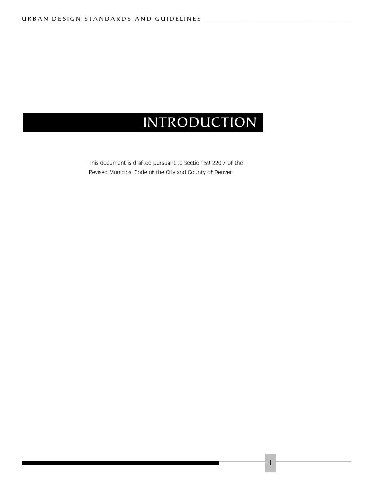### INTRODUCTION

1

This document is drafted pursuant to Section 59-220.7 of the Revised Municipal Code of the City and County of Denver.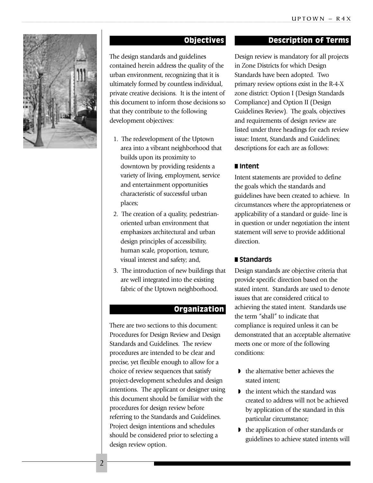

#### Objectives

The design standards and guidelines contained herein address the quality of the urban environment, recognizing that it is ultimately formed by countless individual, private creative decisions. It is the intent of this document to inform those decisions so that they contribute to the following development objectives:

- 1. The redevelopment of the Uptown area into a vibrant neighborhood that builds upon its proximity to downtown by providing residents a variety of living, employment, service and entertainment opportunities characteristic of successful urban places;
- 2. The creation of a quality, pedestrianoriented urban environment that emphasizes architectural and urban design principles of accessibility, human scale, proportion, texture, visual interest and safety; and,
- 3. The introduction of new buildings that are well integrated into the existing fabric of the Uptown neighborhood.

#### **Organization**

There are two sections to this document: Procedures for Design Review and Design Standards and Guidelines. The review procedures are intended to be clear and precise, yet flexible enough to allow for a choice of review sequences that satisfy project-development schedules and design intentions. The applicant or designer using this document should be familiar with the procedures for design review before referring to the Standards and Guidelines. Project design intentions and schedules should be considered prior to selecting a design review option.

#### Description of Terms

Design review is mandatory for all projects in Zone Districts for which Design Standards have been adopted. Two primary review options exist in the R-4-X zone district: Option I (Design Standards Compliance) and Option II (Design Guidelines Review). The goals, objectives and requirements of design review are listed under three headings for each review issue: Intent, Standards and Guidelines; descriptions for each are as follows:

#### ■ **Intent**

Intent statements are provided to define the goals which the standards and guidelines have been created to achieve. In circumstances where the appropriateness or applicability of a standard or guide- line is in question or under negotiation the intent statement will serve to provide additional direction.

#### ■ **Standards**

Design standards are objective criteria that provide specific direction based on the stated intent. Standards are used to denote issues that are considered critical to achieving the stated intent. Standards use the term "shall" to indicate that compliance is required unless it can be demonstrated that an acceptable alternative meets one or more of the following conditions:

- ◗ the alternative better achieves the stated intent;
- ◗ the intent which the standard was created to address will not be achieved by application of the standard in this particular circumstance;
- ◗ the application of other standards or guidelines to achieve stated intents will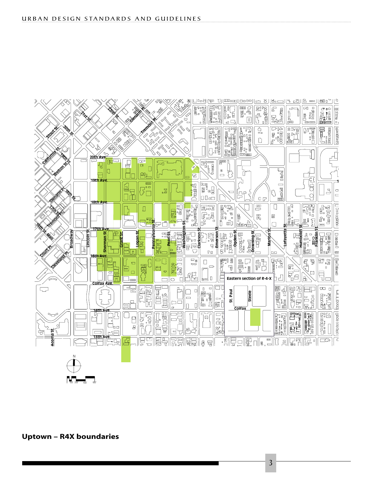

**Uptown – R4X boundaries**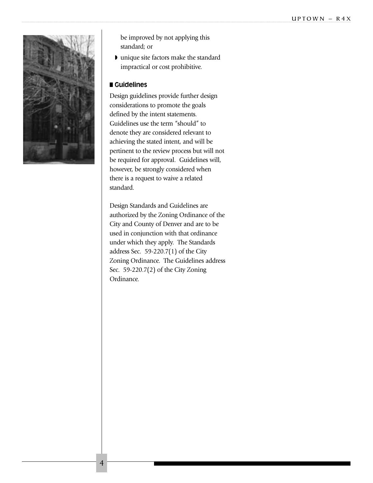

be improved by not applying this standard; or

◗ unique site factors make the standard impractical or cost prohibitive.

#### ■ **Guidelines**

Design guidelines provide further design considerations to promote the goals defined by the intent statements. Guidelines use the term "should" to denote they are considered relevant to achieving the stated intent, and will be pertinent to the review process but will not be required for approval. Guidelines will, however, be strongly considered when there is a request to waive a related standard.

Design Standards and Guidelines are authorized by the Zoning Ordinance of the City and County of Denver and are to be used in conjunction with that ordinance under which they apply. The Standards address Sec. 59-220.7(1) of the City Zoning Ordinance. The Guidelines address Sec. 59-220.7(2) of the City Zoning Ordinance.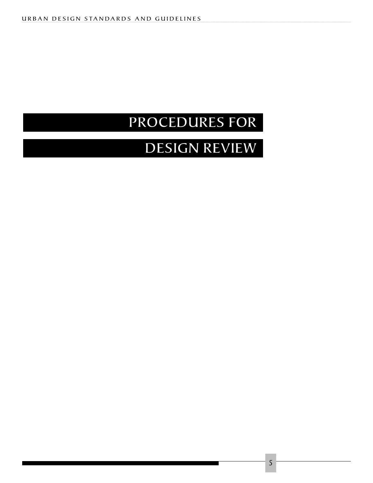## PROCEDURES FOR

## DESIGN REVIEW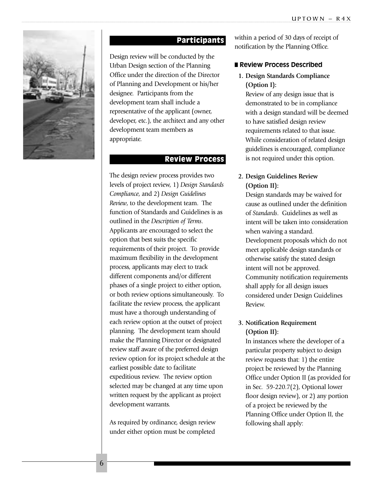

### Participants

Design review will be conducted by the Urban Design section of the Planning Office under the direction of the Director of Planning and Development or his/her designee. Participants from the development team shall include a representative of the applicant (owner, developer, etc.), the architect and any other development team members as appropriate.

#### Review Process

The design review process provides two levels of project review, 1) *Design Standards Compliance*, and 2) *Design Guidelines Review*, to the development team. The function of Standards and Guidelines is as outlined in the *Description of Terms*. Applicants are encouraged to select the option that best suits the specific requirements of their project. To provide maximum flexibility in the development process, applicants may elect to track different components and/or different phases of a single project to either option, or both review options simultaneously. To facilitate the review process, the applicant must have a thorough understanding of each review option at the outset of project planning. The development team should make the Planning Director or designated review staff aware of the preferred design review option for its project schedule at the earliest possible date to facilitate expeditious review. The review option selected may be changed at any time upon written request by the applicant as project development warrants.

As required by ordinance, design review under either option must be completed

within a period of 30 days of receipt of notification by the Planning Office.

#### ■ **Review Process Described**

**1. Design Standards Compliance (Option I):**

Review of any design issue that is demonstrated to be in compliance with a design standard will be deemed to have satisfied design review requirements related to that issue. While consideration of related design guidelines is encouraged, compliance is not required under this option.

#### **2. Design Guidelines Review (Option II):**

Design standards may be waived for cause as outlined under the definition of *Standards*. Guidelines as well as intent will be taken into consideration when waiving a standard. Development proposals which do not meet applicable design standards or otherwise satisfy the stated design intent will not be approved. Community notification requirements shall apply for all design issues considered under Design Guidelines Review.

#### **3. Notification Requirement (Option II):**

In instances where the developer of a particular property subject to design review requests that: 1) the entire project be reviewed by the Planning Office under Option II (as provided for in Sec. 59-220.7(2), Optional lower floor design review), or 2) any portion of a project be reviewed by the Planning Office under Option II, the following shall apply: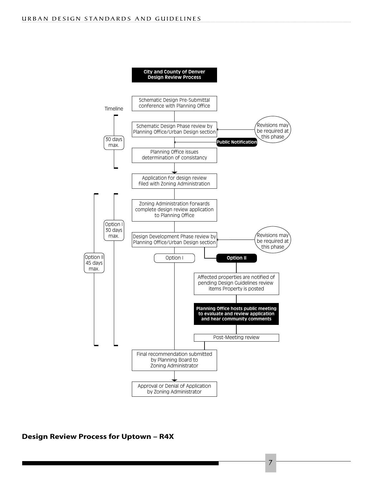

#### **Design Review Process for Uptown – R4X**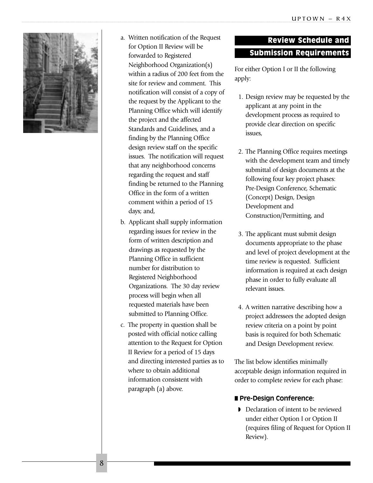

- a. Written notification of the Request for Option II Review will be forwarded to Registered Neighborhood Organization(s) within a radius of 200 feet from the site for review and comment. This notification will consist of a copy of the request by the Applicant to the Planning Office which will identify the project and the affected Standards and Guidelines, and a finding by the Planning Office design review staff on the specific issues. The notification will request that any neighborhood concerns regarding the request and staff finding be returned to the Planning Office in the form of a written comment within a period of 15 days; and,
- b. Applicant shall supply information regarding issues for review in the form of written description and drawings as requested by the Planning Office in sufficient number for distribution to Registered Neighborhood Organizations. The 30 day review process will begin when all requested materials have been submitted to Planning Office.
- c. The property in question shall be posted with official notice calling attention to the Request for Option II Review for a period of 15 days and directing interested parties as to where to obtain additional information consistent with paragraph (a) above.

### Review Schedule and Submission Requirements

For either Option I or II the following apply:

- 1. Design review may be requested by the applicant at any point in the development process as required to provide clear direction on specific issues,
- 2. The Planning Office requires meetings with the development team and timely submittal of design documents at the following four key project phases: Pre-Design Conference, Schematic (Concept) Design, Design Development and Construction/Permitting, and
- 3. The applicant must submit design documents appropriate to the phase and level of project development at the time review is requested. Sufficient information is required at each design phase in order to fully evaluate all relevant issues.
- 4. A written narrative describing how a project addressees the adopted design review criteria on a point by point basis is required for both Schematic and Design Development review.

The list below identifies minimally acceptable design information required in order to complete review for each phase:

#### ■ **Pre-Design Conference:**

◗ Declaration of intent to be reviewed under either Option I or Option II (requires filing of Request for Option II Review).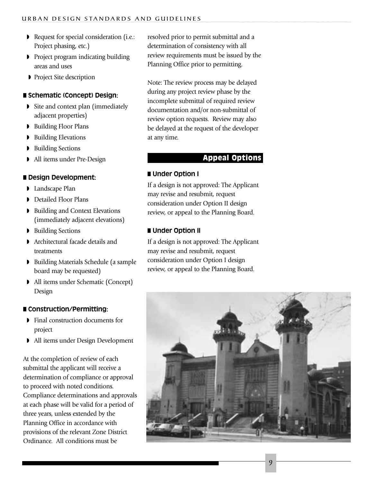- ◗ Request for special consideration (i.e.: Project phasing, etc.)
- ◗ Project program indicating building areas and uses
- ◗ Project Site description

#### ■ **Schematic (Concept) Design:**

- ◗ Site and context plan (immediately adjacent properties)
- ◗ Building Floor Plans
- ◗ Building Elevations
- ◗ Building Sections
- ◗ All items under Pre-Design

#### ■ **Design Development:**

- Landscape Plan
- ◗ Detailed Floor Plans
- ◗ Building and Context Elevations (immediately adjacent elevations)
- ◗ Building Sections
- ◗ Architectural facade details and treatments
- ◗ Building Materials Schedule (a sample board may be requested)
- ◗ All items under Schematic (Concept) Design

#### ■ **Construction/Permitting:**

- ◗ Final construction documents for project
- ◗ All items under Design Development

At the completion of review of each submittal the applicant will receive a determination of compliance or approval to proceed with noted conditions. Compliance determinations and approvals at each phase will be valid for a period of three years, unless extended by the Planning Office in accordance with provisions of the relevant Zone District Ordinance. All conditions must be

resolved prior to permit submittal and a determination of consistency with all review requirements must be issued by the Planning Office prior to permitting.

Note: The review process may be delayed during any project review phase by the incomplete submittal of required review documentation and/or non-submittal of review option requests. Review may also be delayed at the request of the developer at any time.

#### Appeal Options

#### ■ **Under Option I**

If a design is not approved: The Applicant may revise and resubmit, request consideration under Option II design review, or appeal to the Planning Board.

#### ■ **Under Option II**

If a design is not approved: The Applicant may revise and resubmit, request consideration under Option I design review, or appeal to the Planning Board.

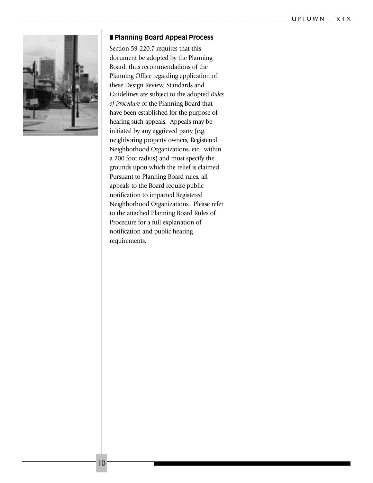

#### ■ **Planning Board Appeal Process**

Section 59-220.7 requires that this document be adopted by the Planning Board, thus recommendations of the Planning Office regarding application of these Design Review, Standards and Guidelines are subject to the adopted *Rules of Procedure* of the Planning Board that have been established for the purpose of hearing such appeals. Appeals may be initiated by any aggrieved party (e.g. neighboring property owners, Registered Neighborhood Organizations, etc. within a 200 foot radius) and must specify the grounds upon which the relief is claimed. Pursuant to Planning Board rules, all appeals to the Board require public notification to impacted Registered Neighborhood Organizations. Please refer to the attached Planning Board Rules of Procedure for a full explanation of notification and public hearing requirements.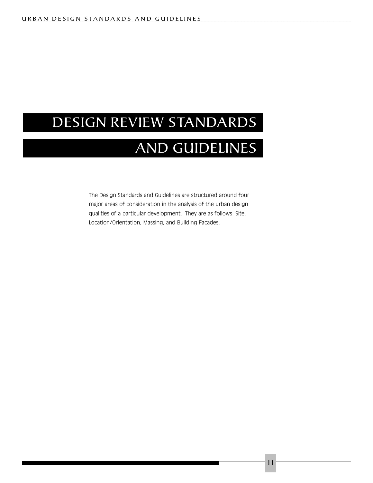### DESIGN REVIEW STANDARDS

### AND GUIDELINES

The Design Standards and Guidelines are structured around four major areas of consideration in the analysis of the urban design qualities of a particular development. They are as follows: Site, Location/Orientation, Massing, and Building Facades.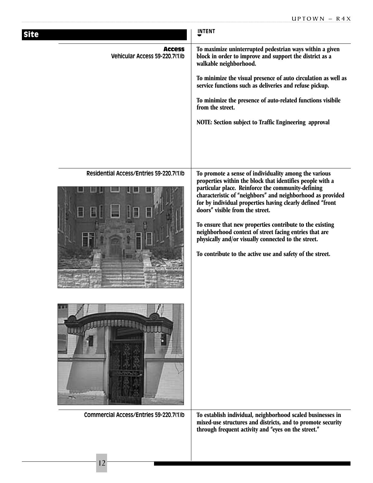| <b>Site</b>                                    | <b>INTENT</b>                                                                                                                                                                                                                                                                                                                                                                                                                                                                                                                                                                     |
|------------------------------------------------|-----------------------------------------------------------------------------------------------------------------------------------------------------------------------------------------------------------------------------------------------------------------------------------------------------------------------------------------------------------------------------------------------------------------------------------------------------------------------------------------------------------------------------------------------------------------------------------|
| <b>Access</b><br>Vehicular Access 59-220.7(1)b | To maximize uninterrupted pedestrian ways within a given<br>block in order to improve and support the district as a<br>walkable neighborhood.<br>To minimize the visual presence of auto circulation as well as<br>service functions such as deliveries and refuse pickup.<br>To minimize the presence of auto-related functions visibile<br>from the street.<br>NOTE: Section subject to Traffic Engineering approval                                                                                                                                                            |
| Residential Access/Entries 59-220.7(1)b        | To promote a sense of individuality among the various<br>properties within the block that identifies people with a<br>particular place. Reinforce the community-defining<br>characteristic of "neighbors" and neighborhood as provided<br>for by individual properties having clearly defined "front<br>doors" visible from the street.<br>To ensure that new properties contribute to the existing<br>neighborhood context of street facing entries that are<br>physically and/or visually connected to the street.<br>To contribute to the active use and safety of the street. |
|                                                |                                                                                                                                                                                                                                                                                                                                                                                                                                                                                                                                                                                   |
| Commercial Access/Entries 59-220.7(1)b         | To establish individual, neighborhood scaled businesses in<br>mixed-use structures and districts, and to promote security<br>through frequent activity and "eyes on the street."                                                                                                                                                                                                                                                                                                                                                                                                  |
|                                                |                                                                                                                                                                                                                                                                                                                                                                                                                                                                                                                                                                                   |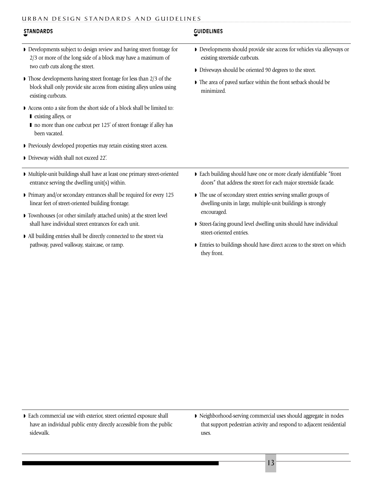| <b>STANDARDS</b>                                                                                                                                                                         | <b>GUIDELINES</b>                                                                                                                                                |
|------------------------------------------------------------------------------------------------------------------------------------------------------------------------------------------|------------------------------------------------------------------------------------------------------------------------------------------------------------------|
| Developments subject to design review and having street frontage for<br>2/3 or more of the long side of a block may have a maximum of<br>two curb cuts along the street.                 | Developments should provide site access for vehicles via alleyways or<br>existing streetside curbcuts.<br>Driveways should be oriented 90 degrees to the street. |
| $\blacktriangleright$ Those developments having street frontage for less than 2/3 of the<br>block shall only provide site access from existing alleys unless using<br>existing curbcuts. | The area of paved surface within the front setback should be<br>minimized.                                                                                       |
| Access onto a site from the short side of a block shall be limited to:<br>■ existing alleys, or<br>no more than one curbcut per 125' of street frontage if alley has<br>been vacated.    |                                                                                                                                                                  |
| • Previously developed properties may retain existing street access.                                                                                                                     |                                                                                                                                                                  |
| Diveway width shall not exceed 22'.                                                                                                                                                      |                                                                                                                                                                  |
| Multiple-unit buildings shall have at least one primary street-oriented<br>entrance serving the dwelling unit(s) within.                                                                 | Each building should have one or more clearly identifiable "front<br>doors" that address the street for each major streetside facade.                            |
| Primary and/or secondary entrances shall be required for every 125<br>linear feet of street-oriented building frontage.                                                                  | The use of secondary street entries serving smaller groups of<br>dwelling-units in large, multiple-unit buildings is strongly                                    |
| Townhouses (or other similarly attached units) at the street level                                                                                                                       | encouraged.                                                                                                                                                      |
| shall have individual street entrances for each unit.                                                                                                                                    | Street-facing ground level dwelling units should have individual                                                                                                 |
| • All building entries shall be directly connected to the street via                                                                                                                     | street-oriented entries.                                                                                                                                         |
| pathway, paved walkway, staircase, or ramp.                                                                                                                                              | Entries to buildings should have direct access to the street on which                                                                                            |

they front.

◗ Each commercial use with exterior, street oriented exposure shall have an individual public entry directly accessible from the public sidewalk.

◗ Neighborhood-serving commercial uses should aggregate in nodes that support pedestrian activity and respond to adjacent residential uses.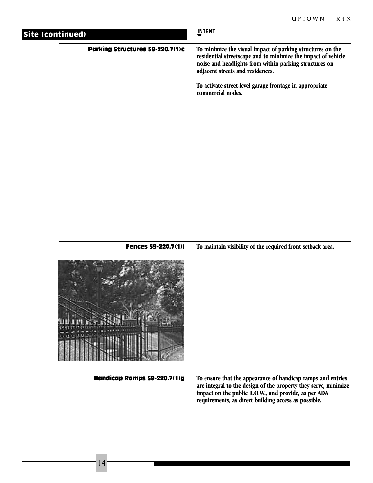| Site (continued)                | <b>INTENT</b>                                                                                                                                                                                                                                  |
|---------------------------------|------------------------------------------------------------------------------------------------------------------------------------------------------------------------------------------------------------------------------------------------|
| Parking Structures 59-220.7(1)c | To minimize the visual impact of parking structures on the<br>residential streetscape and to minimize the impact of vehicle<br>noise and headlights from within parking structures on<br>adjacent streets and residences.                      |
|                                 | To activate street-level garage frontage in appropriate<br>commercial nodes.                                                                                                                                                                   |
|                                 |                                                                                                                                                                                                                                                |
| Fences 59-220.7(1)i             | To maintain visibility of the required front setback area.                                                                                                                                                                                     |
|                                 |                                                                                                                                                                                                                                                |
| Handicap Ramps 59-220.7(1)g     | To ensure that the appearance of handicap ramps and entries<br>are integral to the design of the property they serve, minimize<br>impact on the public R.O.W., and provide, as per ADA<br>requirements, as direct building access as possible. |
|                                 |                                                                                                                                                                                                                                                |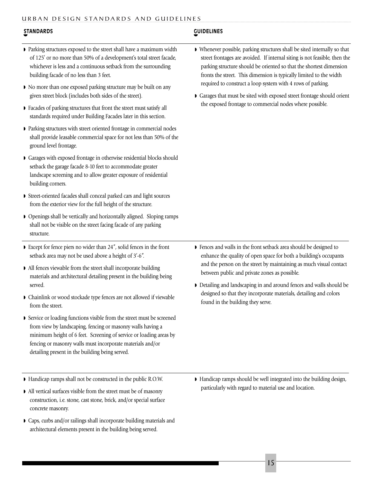#### **STANDARDS GUIDELINES**

- ◗ Parking structures exposed to the street shall have a maximum width of 125' or no more than 50% of a development's total street facade, whichever is less and a continuous setback from the surrounding building facade of no less than 3 feet.
- ◗ No more than one exposed parking structure may be built on any given street block (includes both sides of the street).
- ◗ Facades of parking structures that front the street must satisfy all standards required under Building Facades later in this section.
- ◗ Parking structures with street oriented frontage in commercial nodes shall provide leasable commercial space for not less than 50% of the ground level frontage.
- ◗ Garages with exposed frontage in otherwise residential blocks should setback the garage facade 8-10 feet to accommodate greater landscape screening and to allow greater exposure of residential building corners.
- ◗ Street-oriented facades shall conceal parked cars and light sources from the exterior view for the full height of the structure.
- ◗ Openings shall be vertically and horizontally aligned. Sloping ramps shall not be visible on the street facing facade of any parking structure.
- ◗ Except for fence piers no wider than 24", solid fences in the front setback area may not be used above a height of 3'-6".
- ◗ All fences viewable from the street shall incorporate building materials and architectural detailing present in the building being served.
- ◗ Chainlink or wood stockade type fences are not allowed if viewable from the street.
- ◗ Service or loading functions visible from the street must be screened from view by landscaping, fencing or masonry walls having a minimum height of 6 feet. Screening of service or loading areas by fencing or masonry walls must incorporate materials and/or detailing present in the building being served.
- ◗ Handicap ramps shall not be constructed in the public R.O.W.
- ◗ All vertical surfaces visible from the street must be of masonry construction, i.e. stone, cast stone, brick, and/or special surface concrete masonry.
- ◗ Caps, curbs and/or railings shall incorporate building materials and architectural elements present in the building being served.
- ◗ Whenever possible, parking structures shall be sited internally so that street frontages are avoided. If internal siting is not feasible, then the parking structure should be oriented so that the shortest dimension fronts the street. This dimension is typically limited to the width required to construct a loop system with 4 rows of parking.
- ◗ Garages that must be sited with exposed street frontage should orient the exposed frontage to commercial nodes where possible.

- ◗ Fences and walls in the front setback area should be designed to enhance the quality of open space for both a building's occupants and the person on the street by maintaining as much visual contact between public and private zones as possible.
- ◗ Detailing and landscaping in and around fences and walls should be designed so that they incorporate materials, detailing and colors found in the building they serve.

◗ Handicap ramps should be well integrated into the building design, particularly with regard to material use and location.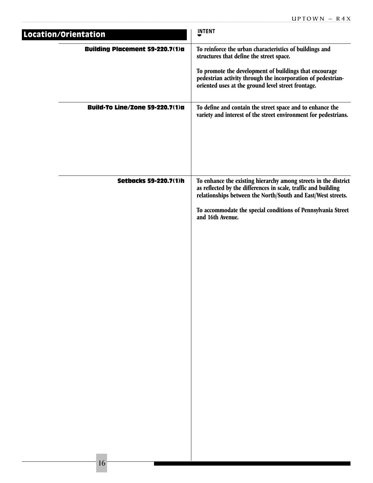| Location/Orientation |                                        | <b>INTENT</b>                                                                                                                                                                                                                                                                         |
|----------------------|----------------------------------------|---------------------------------------------------------------------------------------------------------------------------------------------------------------------------------------------------------------------------------------------------------------------------------------|
|                      | <b>Building Placement 59-220.7(1)a</b> | To reinforce the urban characteristics of buildings and<br>structures that define the street space.<br>To promote the development of buildings that encourage<br>pedestrian activity through the incorporation of pedestrian-<br>oriented uses at the ground level street frontage.   |
|                      | <b>Build-To Line/Zone 59-220.7(1)a</b> | To define and contain the street space and to enhance the<br>variety and interest of the street environment for pedestrians.                                                                                                                                                          |
|                      | <b>Setbacks 59-220.7(1)h</b>           | To enhance the existing hierarchy among streets in the district<br>as reflected by the differences in scale, traffic and building<br>relationships between the North/South and East/West streets.<br>To accommodate the special conditions of Pennsylvania Street<br>and 16th Avenue. |
|                      |                                        |                                                                                                                                                                                                                                                                                       |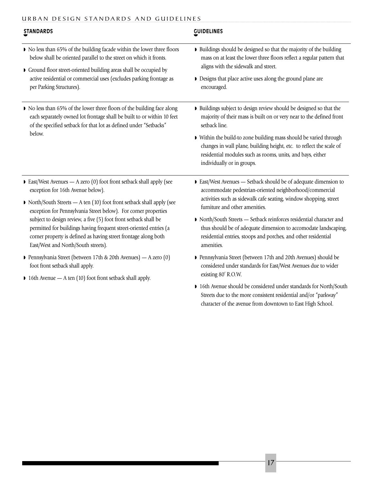| <b>STANDARDS</b>                                                                                                                                                                                                                                                                                                                                                                                                                                                                                           | <b>GUIDELINES</b>                                                                                                                                                                                                                   |
|------------------------------------------------------------------------------------------------------------------------------------------------------------------------------------------------------------------------------------------------------------------------------------------------------------------------------------------------------------------------------------------------------------------------------------------------------------------------------------------------------------|-------------------------------------------------------------------------------------------------------------------------------------------------------------------------------------------------------------------------------------|
| • No less than 65% of the building facade within the lower three floors<br>below shall be oriented parallel to the street on which it fronts.                                                                                                                                                                                                                                                                                                                                                              | Buildings should be designed so that the majority of the building<br>mass on at least the lower three floors reflect a regular pattern that                                                                                         |
| Ground floor street-oriented building areas shall be occupied by<br>active residential or commercial uses (excludes parking frontage as<br>per Parking Structures).                                                                                                                                                                                                                                                                                                                                        | aligns with the sidewalk and street.<br>• Designs that place active uses along the ground plane are<br>encouraged.                                                                                                                  |
| • No less than 65% of the lower three floors of the building face along<br>each separately owned lot frontage shall be built to or within 10 feet<br>of the specified setback for that lot as defined under "Setbacks"<br>below.                                                                                                                                                                                                                                                                           | • Buildings subject to design review should be designed so that the<br>majority of their mass is built on or very near to the defined front<br>setback line.                                                                        |
|                                                                                                                                                                                                                                                                                                                                                                                                                                                                                                            | Within the build-to zone building mass should be varied through<br>changes in wall plane, building height, etc. to reflect the scale of<br>residential modules such as rooms, units, and bays, either<br>individually or in groups. |
| East/West Avenues $-$ A zero (0) foot front setback shall apply (see<br>exception for 16th Avenue below).<br>• North/South Streets - A ten (10) foot front setback shall apply (see<br>exception for Pennsylvania Street below). For corner properties<br>subject to design review, a five (5) foot front setback shall be<br>permitted for buildings having frequent street-oriented entries (a<br>corner property is defined as having street frontage along both<br>East/West and North/South streets). | East/West Avenues — Setback should be of adequate dimension to<br>accommodate pedestrian-oriented neighborhood/commercial<br>activities such as sidewalk cafe seating, window shopping, street<br>furniture and other amenities.    |
|                                                                                                                                                                                                                                                                                                                                                                                                                                                                                                            | > North/South Streets - Setback reinforces residential character and<br>thus should be of adequate dimension to accomodate landscaping,<br>residential entries, stoops and porches, and other residential<br>amenities.             |
| Pennsylvania Street (between 17th & 20th Avenues) - A zero (0)<br>foot front setback shall apply.<br>$\triangleright$ 16th Avenue — A ten (10) foot front setback shall apply.                                                                                                                                                                                                                                                                                                                             | Pennsylvania Street (between 17th and 20th Avenues) should be<br>considered under standards for East/West Avenues due to wider<br>existing 80' R.O.W.                                                                               |
|                                                                                                                                                                                                                                                                                                                                                                                                                                                                                                            | 16th Avenue should be considered under standards for North/South<br>Streets due to the more consistent residential and/or "parkway"<br>character of the avenue from downtown to East High School.                                   |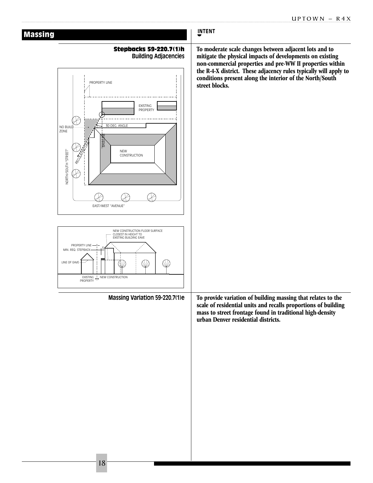| <b>Massing</b>                                                                                                                                                                                                                                                                                                                                                                                                                                                        | <b>INTENT</b>                                                                                                                                                                                                                                                                                                                       |
|-----------------------------------------------------------------------------------------------------------------------------------------------------------------------------------------------------------------------------------------------------------------------------------------------------------------------------------------------------------------------------------------------------------------------------------------------------------------------|-------------------------------------------------------------------------------------------------------------------------------------------------------------------------------------------------------------------------------------------------------------------------------------------------------------------------------------|
| <b>Stepbacks 59-220.7(1)h</b><br><b>Building Adjacencies</b><br>PROPERTY LINE<br><b>EXISTING</b><br>PROPERTY<br>30 DEG. ANGLE<br>NO BUILE<br>ZONE<br><b>BASELIK</b><br>NORTH/SOUTH "STREET"<br><b>NEW</b><br>RECUTS<br>CONSTRUCTION<br>EAST/WEST "AVENUE"<br>NEW CONSTRUCTION FLOOR SURFACE<br>CLOSEST IN HEIGHT TO<br>EXISTING BUILDING EAVE<br>PROPERTY LINE<br>MIN. REQ. STEPBACK<br>$\mathbb{Q}$<br>SV2<br>LINE OF EAVE-<br>EXISTING NEW CONSTRUCTION<br>PROPERTY | To moderate scale changes between adjacent lots and to<br>mitigate the physical impacts of developments on existing<br>non-commercial properties and pre-WW II properties within<br>the R-4-X district. These adjacency rules typically will apply to<br>conditions present along the interior of the North/South<br>street blocks. |
| Massing Variation 59-220.7(1)e                                                                                                                                                                                                                                                                                                                                                                                                                                        | To provide variation of building massing that relates to the<br>scale of residential units and recalls proportions of building<br>mass to street frontage found in traditional high-density<br>urban Denver residential districts.                                                                                                  |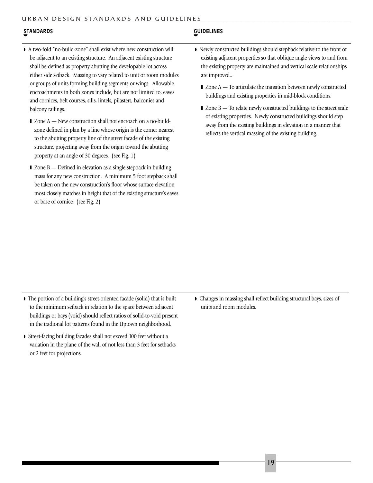#### **STANDARDS GUIDELINES**

- ◗ A two-fold "no-build-zone" shall exist where new construction will be adjacent to an existing structure. An adjacent existing structure shall be defined as property abutting the developable lot across either side setback. Massing to vary related to unit or room modules or groups of units forming building segments or wings. Allowable encroachments in both zones include, but are not limited to, eaves and cornices, belt courses, sills, lintels, pilasters, balconies and balcony railings.
	- Zone A New construction shall not encroach on a no-buildzone defined in plan by a line whose origin is the corner nearest to the abutting property line of the street facade of the existing structure, projecting away from the origin toward the abutting property at an angle of 30 degrees. (see Fig. 1)
	- Zone B Defined in elevation as a single stepback in building mass for any new construction. A minimum 5 foot stepback shall be taken on the new construction's floor whose surface elevation most closely matches in height that of the existing structure's eaves or base of cornice. (see Fig. 2)

- ◗ Newly constructed buildings should stepback relative to the front of existing adjacent properties so that oblique angle views to and from the existing property are maintained and vertical scale relationships are improved..
	- Zone A To articulate the transition between newly constructed buildings and existing properties in mid-block conditions.
	- $\blacksquare$  Zone B To relate newly constructed buildings to the street scale of existing properties. Newly constructed buildings should step away from the existing buildings in elevation in a manner that reflects the vertical massing of the existing building.

- ◗ The portion of a building's street-oriented facade (solid) that is built to the minimum setback in relation to the space between adjacent buildings or bays (void) should reflect ratios of solid-to-void present in the tradional lot patterns found in the Uptown neighborhood.
- ◗ Street-facing building facades shall not exceed 100 feet without a variation in the plane of the wall of not less than 3 feet for setbacks or 2 feet for projections.
- ◗ Changes in massing shall reflect building structural bays, sizes of units and room modules.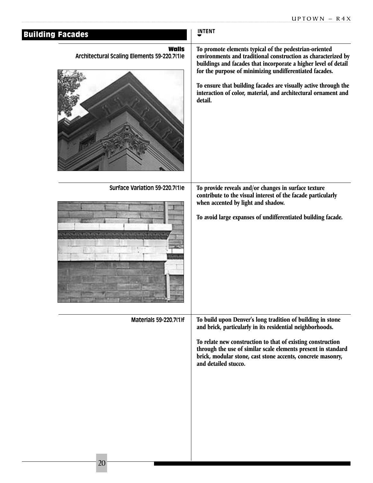| <b>Building Facades</b>                                                             | <b>INTENT</b>                                                                                                                                                                                                                                                                                                                                                                                         |
|-------------------------------------------------------------------------------------|-------------------------------------------------------------------------------------------------------------------------------------------------------------------------------------------------------------------------------------------------------------------------------------------------------------------------------------------------------------------------------------------------------|
| <b>Walls</b><br>Architectural Scaling Elements 59-220.7(1)e                         | To promote elements typical of the pedestrian-oriented<br>environments and traditional construction as characterized by<br>buildings and facades that incorporate a higher level of detail<br>for the purpose of minimizing undifferentiated facades.<br>To ensure that building facades are visually active through the<br>interaction of color, material, and architectural ornament and<br>detail. |
| Surface Variation 59-220.7(1)e<br><b>INTERNATIONAL INTERNATIONAL INCONSTITUTION</b> | To provide reveals and/or changes in surface texture<br>contribute to the visual interest of the facade particularly<br>when accented by light and shadow.<br>To avoid large expanses of undifferentiated building facade.                                                                                                                                                                            |
| Materials 59-220.7(1)f                                                              | To build upon Denver's long tradition of building in stone<br>and brick, particularly in its residential neighborhoods.<br>To relate new construction to that of existing construction<br>through the use of similar scale elements present in standard<br>brick, modular stone, cast stone accents, concrete masonry,<br>and detailed stucco.                                                        |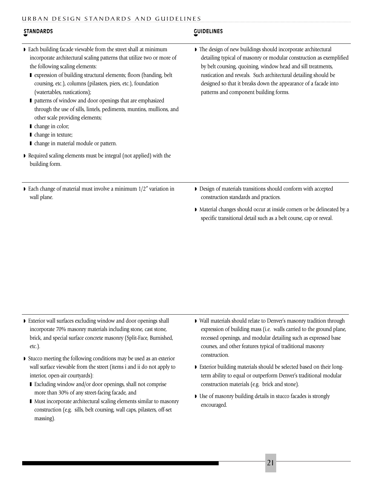| <b>STANDARDS</b>                                                                                                                                                                                                                                                                                                                                                                                                                                                                                                                                                                                                                                                                       | <b>GUIDELINES</b>                                                                                                                                                                                                                                                                                                                                                                   |
|----------------------------------------------------------------------------------------------------------------------------------------------------------------------------------------------------------------------------------------------------------------------------------------------------------------------------------------------------------------------------------------------------------------------------------------------------------------------------------------------------------------------------------------------------------------------------------------------------------------------------------------------------------------------------------------|-------------------------------------------------------------------------------------------------------------------------------------------------------------------------------------------------------------------------------------------------------------------------------------------------------------------------------------------------------------------------------------|
| • Each building facade viewable from the street shall at minimum<br>incorporate architectural scaling patterns that utilize two or more of<br>the following scaling elements:<br>■ expression of building structural elements; floors (banding, belt<br>coursing, etc.), columns (pilasters, piers, etc.), foundation<br>(watertables, rustications);<br>patterns of window and door openings that are emphasized<br>through the use of sills, lintels, pediments, muntins, mullions, and<br>other scale providing elements;<br>change in color;<br>change in texture;<br>change in material module or pattern.<br>• Required scaling elements must be integral (not applied) with the | The design of new buildings should incorporate architectural<br>detailing typical of masonry or modular construction as exemplified<br>by belt coursing, quoining, window head and sill treatments,<br>rustication and reveals. Such architectural detailing should be<br>designed so that it breaks down the appearance of a facade into<br>patterns and component building forms. |
| building form.                                                                                                                                                                                                                                                                                                                                                                                                                                                                                                                                                                                                                                                                         |                                                                                                                                                                                                                                                                                                                                                                                     |
| Each change of material must involve a minimum $1/2$ " variation in<br>wall plane.                                                                                                                                                                                                                                                                                                                                                                                                                                                                                                                                                                                                     | Design of materials transitions should conform with accepted<br>construction standards and practices.                                                                                                                                                                                                                                                                               |
|                                                                                                                                                                                                                                                                                                                                                                                                                                                                                                                                                                                                                                                                                        | • Material changes should occur at inside corners or be delineated by a<br>specific transitional detail such as a belt course, cap or reveal.                                                                                                                                                                                                                                       |

- ◗ Exterior wall surfaces excluding window and door openings shall incorporate 70% masonry materials including stone, cast stone, brick, and special surface concrete masonry (Split-Face, Burnished, etc.).
- ◗ Stucco meeting the following conditions may be used as an exterior wall surface viewable from the street (items i and ii do not apply to interior, open-air courtyards):
	- Excluding window and/or door openings, shall not comprise more than 30% of any street-facing facade, and
	- Must incorporate architectural scaling elements similar to masonry construction (e.g. sills, belt coursing, wall caps, pilasters, off-set massing).
- ◗ Wall materials should relate to Denver's masonry tradition through expression of building mass (i.e. walls carried to the ground plane, recessed openings, and modular detailing such as expressed base courses, and other features typical of traditional masonry construction.
- ◗ Exterior building materials should be selected based on their longterm ability to equal or outperform Denver's traditional modular construction materials (e.g. brick and stone).
- ◗ Use of masonry building details in stucco facades is strongly encouraged.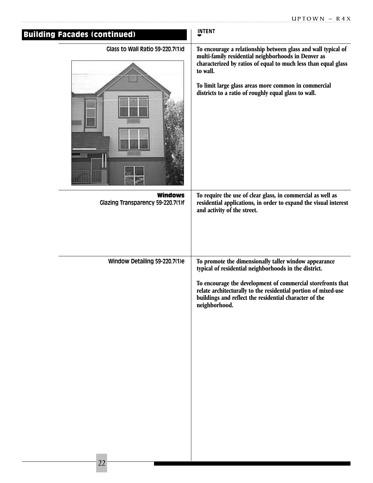| <b>Building Facades (continued)</b>                 | <b>INTENT</b>                                                                                                                                                                                                                                                                                                           |
|-----------------------------------------------------|-------------------------------------------------------------------------------------------------------------------------------------------------------------------------------------------------------------------------------------------------------------------------------------------------------------------------|
| Glass to Wall Ratio 59-220.7(1)d                    | To encourage a relationship between glass and wall typical of<br>multi-family residential neighborhoods in Denver as<br>characterized by ratios of equal to much less than equal glass<br>to wall.<br>To limit large glass areas more common in commercial<br>districts to a ratio of roughly equal glass to wall.      |
| <b>Windows</b><br>Glazing Transparency 59-220.7(1)f | To require the use of clear glass, in commercial as well as<br>residential applications, in order to expand the visual interest<br>and activity of the street.                                                                                                                                                          |
| Window Detailing 59-220.7(1)e                       | To promote the dimensionally taller window appearance<br>typical of residential neighborhoods in the district.<br>To encourage the development of commercial storefronts that<br>relate architecturally to the residential portion of mixed-use<br>buildings and reflect the residential character of the neighborhood. |
|                                                     |                                                                                                                                                                                                                                                                                                                         |